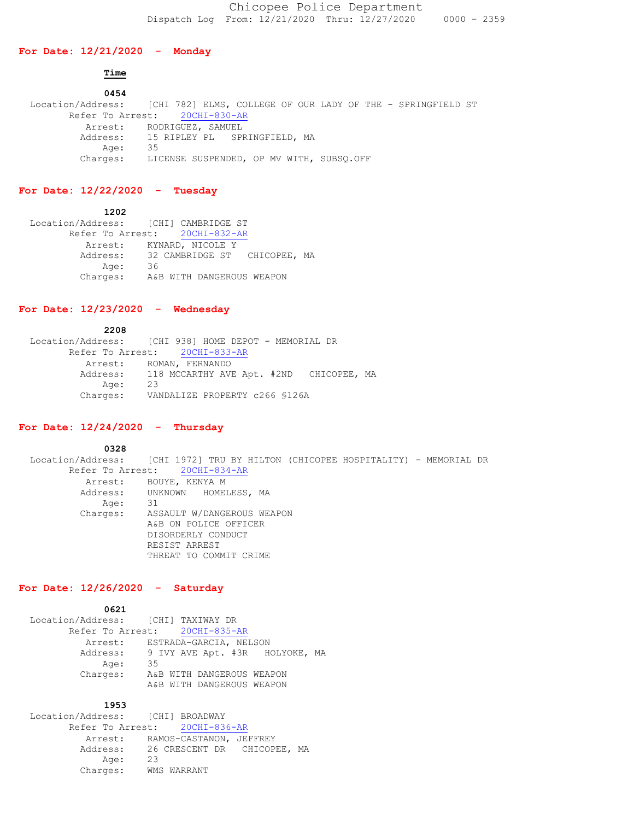### **For Date: 12/21/2020 - Monday**

# **Time**

 **0454** Location/Address: [CHI 782] ELMS, COLLEGE OF OUR LADY OF THE - SPRINGFIELD ST Refer To Arrest: 20CHI-830-AR Arrest: RODRIGUEZ, SAMUEL Address: 15 RIPLEY PL SPRINGFIELD, MA Age: 35 Charges: LICENSE SUSPENDED, OP MV WITH, SUBSQ.OFF

# **For Date: 12/22/2020 - Tuesday**

 **1202** Location/Address: [CHI] CAMBRIDGE ST Refer To Arrest: 20CHI-832-AR Arrest: KYNARD, NICOLE Y Address: 32 CAMBRIDGE ST CHICOPEE, MA Age: 36 Charges: A&B WITH DANGEROUS WEAPON

# **For Date: 12/23/2020 - Wednesday**

 **2208** Location/Address: [CHI 938] HOME DEPOT - MEMORIAL DR Refer To Arrest: 20CHI-833-AR Arrest: ROMAN, FERNANDO Address: 118 MCCARTHY AVE Apt. #2ND CHICOPEE, MA Age: 23 Charges: VANDALIZE PROPERTY c266 §126A

# **For Date: 12/24/2020 - Thursday**

 **0328**

 Location/Address: [CHI 1972] TRU BY HILTON (CHICOPEE HOSPITALITY) - MEMORIAL DR Refer To Arrest: 20CHI-834-AR Arrest: BOUYE, KENYA M Address: UNKNOWN HOMELESS, MA<br>Age: 31 Age: Charges: ASSAULT W/DANGEROUS WEAPON A&B ON POLICE OFFICER DISORDERLY CONDUCT RESIST ARREST THREAT TO COMMIT CRIME

# **For Date: 12/26/2020 - Saturday**

| 0621                                    |    |  |                           |  |
|-----------------------------------------|----|--|---------------------------|--|
| Location/Address: [CHI] TAXIWAY DR      |    |  |                           |  |
| Refer To Arrest: 20CHI-835-AR           |    |  |                           |  |
| Arrest: ESTRADA-GARCIA, NELSON          |    |  |                           |  |
| Address: 9 IVY AVE Apt. #3R HOLYOKE, MA |    |  |                           |  |
| Age:                                    | 35 |  |                           |  |
| Charges:                                |    |  | A&B WITH DANGEROUS WEAPON |  |
|                                         |    |  | A&B WITH DANGEROUS WEAPON |  |
|                                         |    |  |                           |  |

#### **1953**

 Location/Address: [CHI] BROADWAY Refer To Arrest: 20CHI-836-AR Arrest: RAMOS-CASTANON, JEFFREY Address: 26 CRESCENT DR CHICOPEE, MA<br>Age: 23 Age: Age:  $\frac{2}{3}$ <br>Charges: WMS WARRANT